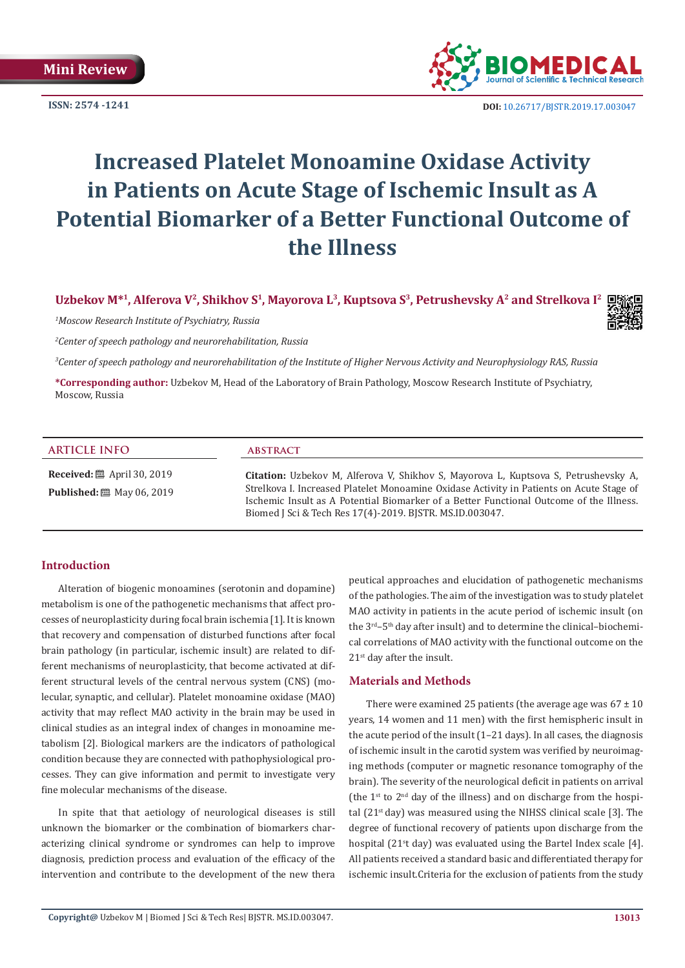**ISSN: 2574 -1241**



 **DOI:** [10.26717/BJSTR.2019.17.0030](http://dx.doi.org/10.26717/BJSTR.2019.17.003047)47

# **Increased Platelet Monoamine Oxidase Activity in Patients on Acute Stage of Ischemic Insult as A Potential Biomarker of a Better Functional Outcome of the Illness**

**Uzbekov M\*1, Alferova V2, Shikhov S1, Mayorova L3, Kuptsova S3, Petrushevsky A2 and Strelkova I2**

*1 Moscow Research Institute of Psychiatry, Russia*

*2 Center of speech pathology and neurorehabilitation, Russia*

*3 Center of speech pathology and neurorehabilitation of the Institute of Higher Nervous Activity and Neurophysiology RAS, Russia*

**\*Corresponding author:** Uzbekov M, Head of the Laboratory of Brain Pathology, Moscow Research Institute of Psychiatry, Moscow, Russia

#### **ARTICLE INFO abstract**

**Received:** ■ April 30, 2019 **Published:** 圖 May 06, 2019

**Citation:** Uzbekov M, Alferova V, Shikhov S, Mayorova L, Kuptsova S, Petrushevsky A, Strelkova I. Increased Platelet Monoamine Oxidase Activity in Patients on Acute Stage of Ischemic Insult as A Potential Biomarker of a Better Functional Outcome of the Illness. Biomed J Sci & Tech Res 17(4)-2019. BJSTR. MS.ID.003047.

### **Introduction**

Alteration of biogenic monoamines (serotonin and dopamine) metabolism is one of the pathogenetic mechanisms that affect processes of neuroplasticity during focal brain ischemia [1]. It is known that recovery and compensation of disturbed functions after focal brain pathology (in particular, ischemic insult) are related to different mechanisms of neuroplasticity, that become activated at different structural levels of the central nervous system (CNS) (molecular, synaptic, and cellular). Platelet monoamine oxidase (MAO) activity that may reflect MAO activity in the brain may be used in clinical studies as an integral index of changes in monoamine metabolism [2]. Biological markers are the indicators of pathological condition because they are connected with pathophysiological processes. They can give information and permit to investigate very fine molecular mechanisms of the disease.

In spite that that aetiology of neurological diseases is still unknown the biomarker or the combination of biomarkers characterizing clinical syndrome or syndromes can help to improve diagnosis, prediction process and evaluation of the efficacy of the intervention and contribute to the development of the new thera

peutical approaches and elucidation of pathogenetic mechanisms of the pathologies. The aim of the investigation was to study platelet MAO activity in patients in the acute period of ischemic insult (on the  $3<sup>rd</sup> - 5<sup>th</sup>$  day after insult) and to determine the clinical–biochemical correlations of MAO activity with the functional outcome on the 21<sup>st</sup> day after the insult.

#### **Materials and Methods**

There were examined 25 patients (the average age was  $67 \pm 10$ years, 14 women and 11 men) with the first hemispheric insult in the acute period of the insult (1–21 days). In all cases, the diagnosis of ischemic insult in the carotid system was verified by neuroimaging methods (computer or magnetic resonance tomography of the brain). The severity of the neurological deficit in patients on arrival (the  $1^{st}$  to  $2^{nd}$  day of the illness) and on discharge from the hospital  $(21<sup>st</sup>$  day) was measured using the NIHSS clinical scale [3]. The degree of functional recovery of patients upon discharge from the hospital (21<sup>s</sup>t day) was evaluated using the Bartel Index scale [4]. All patients received a standard basic and differentiated therapy for ischemic insult.Criteria for the exclusion of patients from the study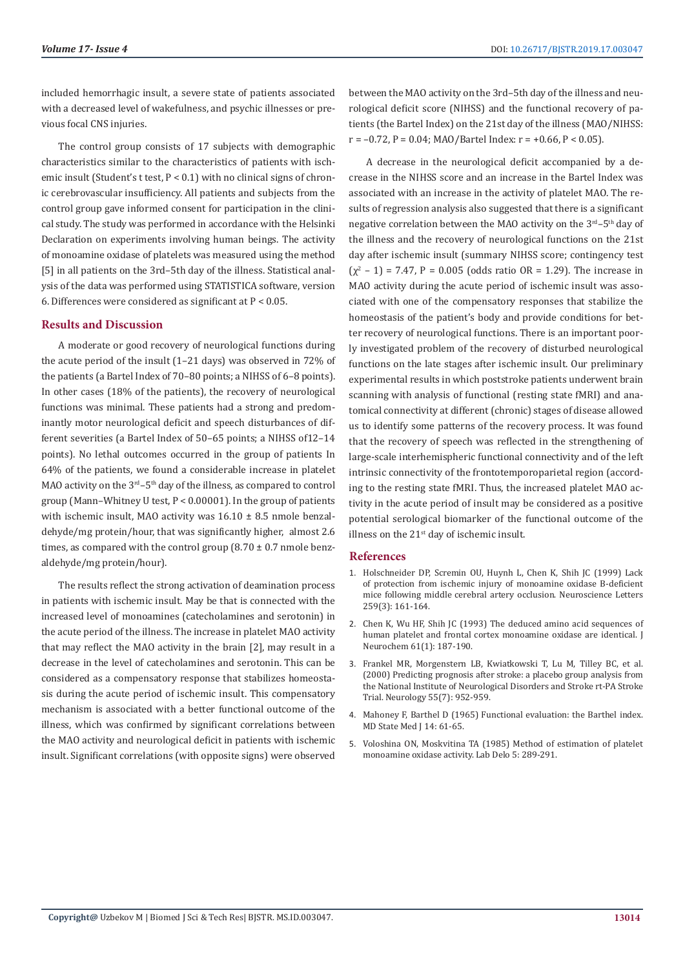included hemorrhagic insult, a severe state of patients associated with a decreased level of wakefulness, and psychic illnesses or previous focal CNS injuries.

The control group consists of 17 subjects with demographic characteristics similar to the characteristics of patients with ischemic insult (Student's t test, P < 0.1) with no clinical signs of chronic cerebrovascular insufficiency. All patients and subjects from the control group gave informed consent for participation in the clinical study. The study was performed in accordance with the Helsinki Declaration on experiments involving human beings. The activity of monoamine oxidase of platelets was measured using the method [5] in all patients on the 3rd–5th day of the illness. Statistical analysis of the data was performed using STATISTICA software, version 6. Differences were considered as significant at P < 0.05.

## **Results and Discussion**

A moderate or good recovery of neurological functions during the acute period of the insult (1–21 days) was observed in 72% of the patients (a Bartel Index of 70–80 points; a NIHSS of 6–8 points). In other cases (18% of the patients), the recovery of neurological functions was minimal. These patients had a strong and predominantly motor neurological deficit and speech disturbances of different severities (a Bartel Index of 50–65 points; a NIHSS of12–14 points). No lethal outcomes occurred in the group of patients In 64% of the patients, we found a considerable increase in platelet MAO activity on the  $3<sup>rd</sup> - 5<sup>th</sup>$  day of the illness, as compared to control group (Mann–Whitney U test,  $P < 0.00001$ ). In the group of patients with ischemic insult, MAO activity was  $16.10 \pm 8.5$  nmole benzaldehyde/mg protein/hour, that was significantly higher, almost 2.6 times, as compared with the control group  $(8.70 \pm 0.7 \text{ mm})$  benzaldehyde/mg protein/hour).

The results reflect the strong activation of deamination process in patients with ischemic insult. May be that is connected with the increased level of monoamines (catecholamines and serotonin) in the acute period of the illness. The increase in platelet MAO activity that may reflect the MAO activity in the brain [2], may result in a decrease in the level of catecholamines and serotonin. This can be considered as a compensatory response that stabilizes homeostasis during the acute period of ischemic insult. This compensatory mechanism is associated with a better functional outcome of the illness, which was confirmed by significant correlations between the MAO activity and neurological deficit in patients with ischemic insult. Significant correlations (with opposite signs) were observed

between the MAO activity on the 3rd–5th day of the illness and neurological deficit score (NIHSS) and the functional recovery of patients (the Bartel Index) on the 21st day of the illness (MAO/NIHSS:  $r = -0.72$ ,  $P = 0.04$ ; MAO/Bartel Index:  $r = +0.66$ ,  $P < 0.05$ ).

A decrease in the neurological deficit accompanied by a decrease in the NIHSS score and an increase in the Bartel Index was associated with an increase in the activity of platelet MAO. The results of regression analysis also suggested that there is a significant negative correlation between the MAO activity on the 3<sup>rd</sup>-5<sup>th</sup> day of the illness and the recovery of neurological functions on the 21st day after ischemic insult (summary NIHSS score; contingency test  $(\chi^2 - 1) = 7.47$ , P = 0.005 (odds ratio OR = 1.29). The increase in MAO activity during the acute period of ischemic insult was associated with one of the compensatory responses that stabilize the homeostasis of the patient's body and provide conditions for better recovery of neurological functions. There is an important poorly investigated problem of the recovery of disturbed neurological functions on the late stages after ischemic insult. Our preliminary experimental results in which poststroke patients underwent brain scanning with analysis of functional (resting state fMRI) and anatomical connectivity at different (chronic) stages of disease allowed us to identify some patterns of the recovery process. It was found that the recovery of speech was reflected in the strengthening of large-scale interhemispheric functional connectivity and of the left intrinsic connectivity of the frontotemporoparietal region (according to the resting state fMRI. Thus, the increased platelet MAO activity in the acute period of insult may be considered as a positive potential serological biomarker of the functional outcome of the illness on the 21<sup>st</sup> day of ischemic insult.

#### **References**

- 1. [Holschneider DP, Scremin OU, Huynh L, Chen K, Shih JC \(1999\) Lack](https://www.ncbi.nlm.nih.gov/pubmed/10025583) [of protection from ischemic injury of monoamine oxidase B-deficient](https://www.ncbi.nlm.nih.gov/pubmed/10025583) [mice following middle cerebral artery occlusion. Neuroscience Letters](https://www.ncbi.nlm.nih.gov/pubmed/10025583) [259\(3\): 161-164.](https://www.ncbi.nlm.nih.gov/pubmed/10025583)
- 2. [Chen K, Wu HF, Shih JC \(1993\) The deduced amino acid sequences of](https://www.ncbi.nlm.nih.gov/pubmed/8515265) [human platelet and frontal cortex monoamine oxidase are identical. J](https://www.ncbi.nlm.nih.gov/pubmed/8515265) [Neurochem 61\(1\): 187-190.](https://www.ncbi.nlm.nih.gov/pubmed/8515265)
- 3. [Frankel MR, Morgenstern LB, Kwiatkowski T, Lu M, Tilley BC, et al.](https://www.ncbi.nlm.nih.gov/pubmed/11061250) [\(2000\) Predicting prognosis after stroke: a placebo group analysis from](https://www.ncbi.nlm.nih.gov/pubmed/11061250) [the National Institute of Neurological Disorders and Stroke rt-PA Stroke](https://www.ncbi.nlm.nih.gov/pubmed/11061250) [Trial. Neurology 55\(7\): 952-959.](https://www.ncbi.nlm.nih.gov/pubmed/11061250)
- 4. [Mahoney F, Barthel D \(1965\) Functional evaluation: the Barthel index.](https://www.ncbi.nlm.nih.gov/pubmed/14258950) [MD State Med J 14: 61-65.](https://www.ncbi.nlm.nih.gov/pubmed/14258950)
- 5. Voloshina ON, Moskvitina TA (1985) Method of estimation of platelet monoamine oxidase activity. Lab Delo 5: 289-291.